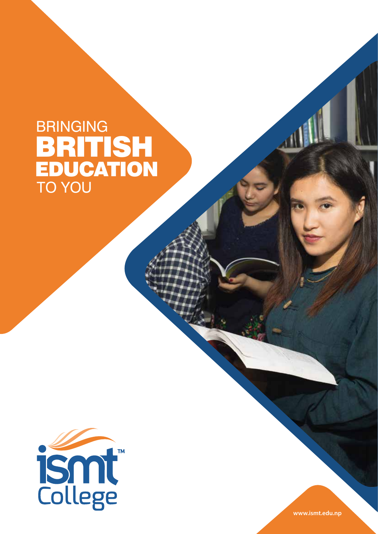## **BRINGING** TO YOU **BRITISH EDUCATION**



**www.ismt.edu.np**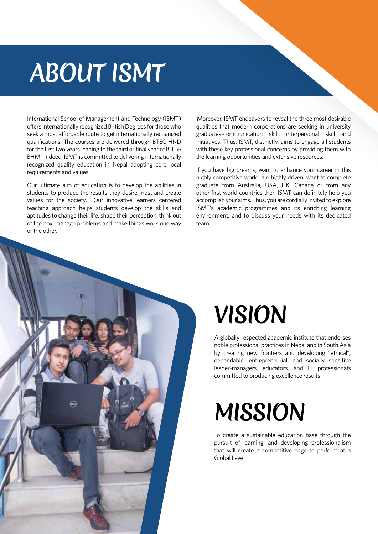# **ABOUT ISMT**

International School of Management and Technology (ISMT) offers internationally recognized British Degrees for those who seek a most affordable route to get internationally recognized qualifications. The courses are delivered through BTEC HND for the first two years leading to the third or final year of BIT & BHM. Indeed, ISMT is committed to delivering internationally recognized quality education in Nepal adopting core local requirements and values.

Our ultimate aim of education is to develop the abilities in students to produce the results they desire most and create values for the society. Our innovative learners centered teaching approach helps students develop the skills and aptitudes to change their life, shape their perception, think out of the box, manage problems and make things work one way or the other.

 Moreover, ISMT endeavors to reveal the three most desirable qualities that modern corporations are seeking in university graduates-communication skill, interpersonal skill and initiatives. Thus, ISMT, distinctly, aims to engage all students with these key professional concerns by providing them with the learning opportunities and extensive resources.

If you have big dreams, want to enhance your career in this highly competitive world, are highly driven, want to complete graduate from Australia, USA, UK, Canada or from any other first world countries then ISMT can definitely help you accomplish your aims. Thus, you are cordially invited to explore ISMT's academic programmes and its enriching learning environment, and to discuss your needs with its dedicated team.



# **Vision**

A globally respected academic institute that endorses noble professional practices in Nepal and in South Asia by creating new frontiers and developing "ethical", dependable, entrepreneurial, and socially sensitive leader-managers, educators, and IT professionals committed to producing excellence results.

# **Mission**

To create a sustainable education base through the pursuit of learning, and developing professionalism that will create a competitive edge to perform at a Global Level.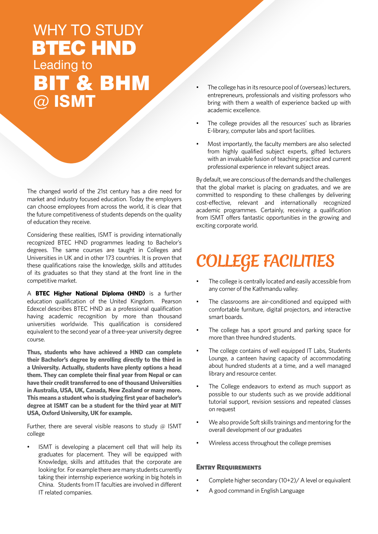## WHY TO STUDY Leading to BIT & BHM @ ISMT BTEC HND

The changed world of the 21st century has a dire need for market and industry focused education. Today the employers can choose employees from across the world, it is clear that the future competitiveness of students depends on the quality of education they receive.

Considering these realities, ISMT is providing internationally recognized BTEC HND programmes leading to Bachelor's degrees. The same courses are taught in Colleges and Universities in UK and in other 173 countries. It is proven that these qualifications raise the knowledge, skills and attitudes of its graduates so that they stand at the front line in the competitive market.

A **BTEC Higher National Diploma (HND)** is a further education qualification of the United Kingdom. Pearson Edexcel describes BTEC HND as a professional qualification having academic recognition by more than thousand universities worldwide. This qualification is considered equivalent to the second year of a three-year university degree course.

**Thus, students who have achieved a HND can complete their Bachelor's degree by enrolling directly to the third in a University. Actually, students have plenty options a head them. They can complete their final year from Nepal or can have their credit transferred to one of thousand Universities in Australia, USA, UK, Canada, New Zealand or many more. This means a student who is studying first year of bachelor's degree at ISMT can be a student for the third year at MIT USA, Oxford University, UK for example.** 

Further, there are several visible reasons to study  $@$  ISMT college

ISMT is developing a placement cell that will help its graduates for placement. They will be equipped with Knowledge, skills and attitudes that the corporate are looking for. For example there are many students currently taking their internship experience working in big hotels in China. Students from IT faculties are involved in different IT related companies.

- The college has in its resource pool of (overseas) lecturers, entrepreneurs, professionals and visiting professors who bring with them a wealth of experience backed up with academic excellence.
- The college provides all the resources' such as libraries E-library, computer labs and sport facilities.
- Most importantly, the faculty members are also selected from highly qualified subject experts, gifted lecturers with an invaluable fusion of teaching practice and current professional experience in relevant subject areas.

By default, we are conscious of the demands and the challenges that the global market is placing on graduates, and we are committed to responding to these challenges by delivering cost-effective, relevant and internationally recognized academic programmes. Certainly, receiving a qualification from ISMT offers fantastic opportunities in the growing and exciting corporate world.

## **College Facilities**

- The college is centrally located and easily accessible from any corner of the Kathmandu valley.
- The classrooms are air-conditioned and equipped with comfortable furniture, digital projectors, and interactive smart boards.
- The college has a sport ground and parking space for more than three hundred students.
- The college contains of well equipped IT Labs, Students Lounge, a canteen having capacity of accommodating about hundred students at a time, and a well managed library and resource center.
- The College endeavors to extend as much support as possible to our students such as we provide additional tutorial support, revision sessions and repeated classes on request
- We also provide Soft skills trainings and mentoring for the overall development of our graduates
- Wireless access throughout the college premises

#### Entry Requirements

- Complete higher secondary  $(10+2)/A$  level or equivalent
- A good command in English Language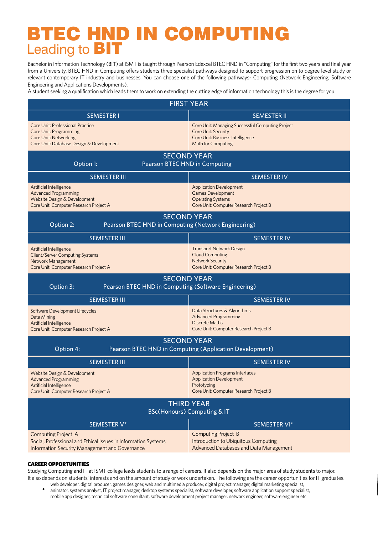### **BTEC HND IN COMPUTING** Leading to BIT

Bachelor in Information Technology (BIT) at ISMT is taught through Pearson Edexcel BTEC HND in "Computing" for the first two years and final year Irom a University. BTEC HIVD in Computing offers students three specialist pathways designed to support progression on to degree level study or<br>relevant contemporary IT industry and businesses. You can choose one of the fo from a University. BTEC HND in Computing offers students three specialist pathways designed to support progression on to degree level study or Engineering and Applications Developments).

A student seeking a qualification which leads them to work on extending the cutting edge of information technology this is the degree for you.

| <b>FIRST YEAR</b>                                                                                                                              |                                                                                                                                   |  |  |  |
|------------------------------------------------------------------------------------------------------------------------------------------------|-----------------------------------------------------------------------------------------------------------------------------------|--|--|--|
| <b>SEMESTER I</b>                                                                                                                              | <b>SEMESTER II</b>                                                                                                                |  |  |  |
| Core Unit: Professional Practice<br>Core Unit: Programming<br>Core Unit: Networking<br>Core Unit: Database Design & Development                | Core Unit: Managing Successful Computing Project<br>Core Unit: Security<br>Core Unit: Business Intelligence<br>Math for Computing |  |  |  |
| <b>SECOND YEAR</b><br>Pearson BTEC HND in Computing<br>Option 1:                                                                               |                                                                                                                                   |  |  |  |
| <b>SEMESTER III</b>                                                                                                                            | <b>SEMESTER IV</b>                                                                                                                |  |  |  |
| Artificial Intelligence<br><b>Advanced Programming</b><br>Website Design & Development<br>Core Unit: Computer Research Project A               | <b>Application Development</b><br><b>Games Development</b><br><b>Operating Systems</b><br>Core Unit: Computer Research Project B  |  |  |  |
| <b>SECOND YEAR</b><br>Pearson BTEC HND in Computing (Network Engineering)<br>Option 2:                                                         |                                                                                                                                   |  |  |  |
| <b>SEMESTER III</b>                                                                                                                            | <b>SEMESTER IV</b>                                                                                                                |  |  |  |
| <b>Artificial Intelligence</b><br>Client/Server Computing Systems<br>Network Management<br>Core Unit: Computer Research Project A              | <b>Transport Network Design</b><br><b>Cloud Computing</b><br><b>Network Security</b><br>Core Unit: Computer Research Project B    |  |  |  |
| <b>SECOND YEAR</b><br>Pearson BTEC HND in Computing (Software Engineering)<br>Option 3:                                                        |                                                                                                                                   |  |  |  |
| <b>SEMESTER III</b>                                                                                                                            | <b>SEMESTER IV</b>                                                                                                                |  |  |  |
| Software Development Lifecycles<br>Data Mining<br>Artificial Intelligence<br>Core Unit: Computer Research Project A                            | Data Structures & Algorithms<br><b>Advanced Programming</b><br><b>Discrete Maths</b><br>Core Unit: Computer Research Project B    |  |  |  |
| <b>SECOND YEAR</b><br>Pearson BTEC HND in Computing (Application Development)<br>Option 4:                                                     |                                                                                                                                   |  |  |  |
| <b>SEMESTER III</b>                                                                                                                            | <b>SEMESTER IV</b>                                                                                                                |  |  |  |
| Website Design & Development<br><b>Advanced Programming</b><br>Artificial Intelligence<br>Core Unit: Computer Research Project A               | <b>Application Programs Interfaces</b><br><b>Application Development</b><br>Prototyping<br>Core Unit: Computer Research Project B |  |  |  |
| <b>THIRD YEAR</b><br><b>BSc(Honours) Computing &amp; IT</b>                                                                                    |                                                                                                                                   |  |  |  |
| SEMESTER V*                                                                                                                                    | SEMESTER VI*                                                                                                                      |  |  |  |
| <b>Computing Project A</b><br>Social, Professional and Ethical Issues in Information Systems<br>Information Security Management and Governance | <b>Computing Project B</b><br>Introduction to Ubiquitous Computing<br>Advanced Databases and Data Management                      |  |  |  |

#### CAREER OPPORTUNITIES

Studying Computing and IT at ISMT college leads students to a range of careers. It also depends on the major area of study students to major. It also depends on students' interests and on the amount of study or work undertaken. The following are the career opportunities for IT graduates.

web developer, digital producer, games designer, web and multimedia producer, digital project manager, digital marketing specialist, animator, systems analyst, IT project manager, desktop systems specialist, software developer, software application support specialist, mobile app designer, technical software consultant, software development project manager, network engineer, software engineer etc.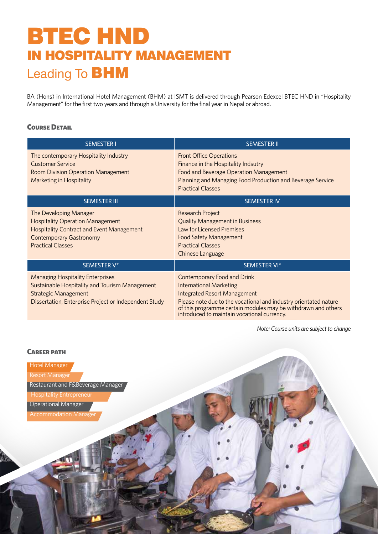## BTEC HND in Hospitality Management Leading To BHM

BA (Hons) in International Hotel Management (BHM) at ISMT is delivered through Pearson Edexcel BTEC HND in "Hospitality Management" for the first two years and through a University for the final year in Nepal or abroad.

#### **COURSE DETAIL**

| <b>SEMESTER I</b>                                                                                                                                                                   | <b>SEMESTER II</b>                                                                                                                                                                                                                                                                       |
|-------------------------------------------------------------------------------------------------------------------------------------------------------------------------------------|------------------------------------------------------------------------------------------------------------------------------------------------------------------------------------------------------------------------------------------------------------------------------------------|
| The contemporary Hospitality Industry<br><b>Customer Service</b><br><b>Room Division Operation Management</b><br>Marketing in Hospitality                                           | <b>Front Office Operations</b><br>Finance in the Hospitality Indsutry<br>Food and Beverage Operation Management<br>Planning and Managing Food Production and Beverage Service<br><b>Practical Classes</b>                                                                                |
| <b>SEMESTER III</b>                                                                                                                                                                 | <b>SEMESTER IV</b>                                                                                                                                                                                                                                                                       |
| The Developing Manager<br><b>Hospitality Operation Management</b><br><b>Hospitality Contract and Event Management</b><br><b>Contemporary Gastronomy</b><br><b>Practical Classes</b> | <b>Research Project</b><br><b>Quality Management in Business</b><br>Law for Licensed Premises<br><b>Food Safety Management</b><br><b>Practical Classes</b><br>Chinese Language                                                                                                           |
| SEMESTER V*                                                                                                                                                                         | SEMESTER VI*                                                                                                                                                                                                                                                                             |
| <b>Managing Hospitality Enterprises</b><br>Sustainable Hospitality and Tourism Management<br><b>Strategic Management</b><br>Dissertation, Enterprise Project or Independent Study   | Contemporary Food and Drink<br><b>International Marketing</b><br><b>Integrated Resort Management</b><br>Please note due to the vocational and industry orientated nature<br>of this programme certain modules may be withdrawn and others<br>introduced to maintain vocational currency. |

*Note: Course units are subject to change* 

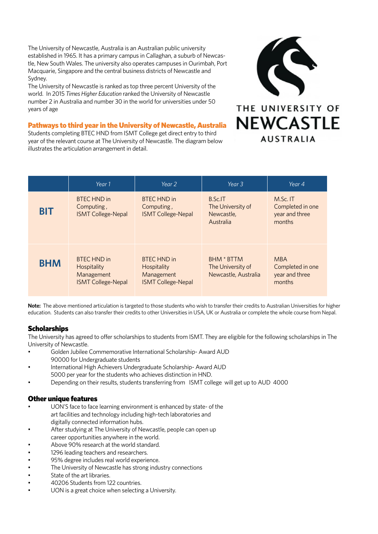The University of Newcastle, Australia is an Australian public university<br> established in 1965. It has a primary campus in Callaghan, a suburb of Newcas-<br>tle New South Wales. The university also operates campuses in Qurimbab. Por Macquarie, Singapore and the central business districts of Newcastle and Sydney. tle, New South Wales. The university also operates campuses in Ourimbah, Port Sydney.

number 2 in Australia and number 30 in the world for universities under 50 manneer  $\angle$  manneer  $\angle$  manneer  $\angle$ <br>years of age The University of Newcastle is ranked as top three percent University of the world. In 2015 *Times Higher Education* ranked the University of Newcastle

#### Pathways to third year in the University of Newcastle, Australia

**Pathways to third year in the University of Newcastle, Austra**<br>Students completing BTEC HND from ISMT College get direct entry to third Four of the referant educed time entreasily of riemassite. The algerim selement of the articulation arrangement in detail. year of the relevant course at The University of Newcastle. The diagram below



|            | Year 1                                                                       | Year 2                                                                       | Year 3                                                         | Year 4                                                     |
|------------|------------------------------------------------------------------------------|------------------------------------------------------------------------------|----------------------------------------------------------------|------------------------------------------------------------|
| <b>BIT</b> | <b>BTEC HND in</b><br>Computing,<br><b>ISMT College-Nepal</b>                | <b>BTEC HND in</b><br>Computing,<br><b>ISMT College-Nepal</b>                | <b>B.Sc.IT</b><br>The University of<br>Newcastle,<br>Australia | M.Sc. IT<br>Completed in one<br>year and three<br>months   |
| <b>BHM</b> | <b>BTEC HND in</b><br>Hospitality<br>Management<br><b>ISMT College-Nepal</b> | <b>BTFC HND in</b><br>Hospitality<br>Management<br><b>ISMT College-Nepal</b> | <b>BHM * BTTM</b><br>The University of<br>Newcastle, Australia | <b>MBA</b><br>Completed in one<br>year and three<br>months |

**Note:** The above mentioned articulation is targeted to those students who wish to transfer their credits to Australian Universities for higher<br>advection, Students are also transfer their are dita to other Universities in education. Students can also transfer their credits to other Universities in USA, UK or Australia or complete the whole course from Nepal.

#### Scholarships

The University has agreed to offer scholarships to students from ISMT. They are eligible for the following scholarships in The University of Newcastle.

- Golden Jubilee Commemorative International Scholarship- Award AUD 90000 for Undergraduate students
- International High Achievers Undergraduate Scholarship- Award AUD 5000 per year for the students who achieves distinction in HND.
- Depending on their results, students transferring from ISMT college will get up to AUD 4000

#### **Other unique features**

- UON'S face to face learning environment is enhanced by state- of the art racinties and technology including<br>digitally connected information hubs. art facilities and technology including high-tech laboratories and
- After studying at The University of Newcastle, people can open up career opportunities anywhere in the world.
- Above 90% research at the world standard.
- 1296 leading teachers and researchers.
- 95% degree includes real world experience.
- The University of Newcastle has strong industry connections
- State of the art libraries.
- 40206 Students from 122 countries.
- UON is a great choice when selecting a University.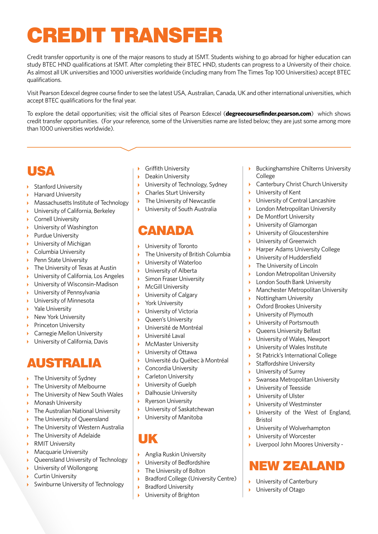# Credit transfer

Credit transfer opportunity is one of the major reasons to study at ISMT. Students wishing to go abroad for higher education can study BTEC HND qualifications at ISMT. After completing their BTEC HND, students can progress to a University of their choice. As almost all UK universities and 1000 universities worldwide (including many from The Times Top 100 Universities) accept BTEC qualifications.

Visit Pearson Edexcel degree course finder to see the latest USA, Australian, Canada, UK and other international universities, which accept BTEC qualifications for the final year.

To explore the detail opportunities; visit the official sites of Pearson Edexcel (**degreecoursefinder.pearson.com**) which shows credit transfer opportunities. (For your reference, some of the Universities name are listed below; they are just some among more than 1000 universities worldwide).

### **IISA**

- ▶ Stanford University
- ▶ Harvard University
- Massachusetts Institute of Technology
- **I** University of California, Berkeley
- Cornell University
- ▶ University of Washington
- **Purdue University**
- **I** University of Michigan
- Columbia University
- Penn State University
- ▶ The University of Texas at Austin
- University of California, Los Angeles  $\mathbf{h}^{\mathrm{eff}}$
- University of Wisconsin-Madison  $\mathbf{F}$
- University of Pennsylvania  $\mathbf{E}$
- $\mathbf{E}^{\mathrm{eff}}$ University of Minnesota
- Yale University  $\mathbf{K}^{\mathrm{eff}}$
- New York University ¥.
- Princeton University ¥.
- Carnegie Mellon University  $\mathbf{b}$
- University of California, Davis  $\blacktriangleright$

### Australia

- ▶ The University of Sydney
- ▶ The University of Melbourne
- $\mathbf{h}^{\prime}$ The University of New South Wales
- $\mathbf{E}^{\prime}$ Monash University
- The Australian National University
- $\mathbf{v}$ The University of Queensland
- The University of Western Australia ¥
- The University of Adelaide  $\mathbf{K}^{\mathrm{eff}}$
- $\mathbf{K}^{(1)}$ RMIT University
- Macquarie University  $\mathbf{F}$
- ¥ Queensland University of Technology
- University of Wollongong  $\mathbf{v}$
- $\mathbf{b}$ Curtin University
- Swinburne University of Technology
- $\mathbf{E}$  . Griffith University
- **Deakin University**
- **I** University of Technology, Sydney
- ▶ Charles Sturt University
- ▶ The University of Newcastle
- **I** University of South Australia

### **CANADA**

- **I** University of Toronto
- The University of British Columbia
- University of Waterloo  $\mathbf{k}$
- University of Alberta  $\mathbf{b}$
- Simon Fraser University
- $\mathbf{r}^{\prime}$ McGill University
- $\overline{\mathbf{r}}$ University of Calgary
- $\mathbf{r}$ York University
- $\mathbf{b}$  . University of Victoria
- $\mathbf{E}$ Queen's University
- Université de Montréal  $\mathbf{r}$
- Université Laval
- **McMaster University**
- University of Ottawa  $\mathbf{h}^{\prime}$
- Université du Québec à Montréal
- $\mathbf{b}$  . Concordia University
- $\mathbf{b}$  . Carleton University
- **I** University of Guelph
- $\mathbf{F}$  . Dalhousie University
- Ryerson University  $\mathbf{h}$  .
- University of Saskatchewan  $\mathbf b$
- **I** University of Manitoba
- UK
- Anglia Ruskin University
- University of Bedfordshire
- ▶ The University of Bolton
- $\mathbf{F}^{\mathbf{r}}$ Bradford College (University Centre)
- $\mathbf{b}$ Bradford University
- University of Brighton
- $\mathbf b$ Buckinghamshire Chilterns University College
- Canterbury Christ Church University  $\mathbf{r}$
- University of Kent
- University of Central Lancashire ¥.
- k. London Metropolitan University
- De Montfort University ¥.
- $\mathbf{v}$ University of Glamorgan
- University of Gloucestershire
- $\mathbf{r}$ University of Greenwich
- $\mathbf{h}$ Harper Adams University College
- University of Huddersfield
- The University of Lincoln
- $\mathbf{v}$ London Metropolitan University
- London South Bank University  $\mathbf{b}^{\dagger}$
- Manchester Metropolitan University
- Nottingham University  $\mathbf{b}$
- $\mathbf{F}$ Oxford Brookes University
- ¥ University of Plymouth
- University of Portsmouth ¥.
- $\mathbf{v}$ Queens University Belfast
- $\mathbf{k}$ University of Wales, Newport
- $\mathbf{h}$ University of Wales Institute
- St Patrick's International College  $\mathbf{F}$

Swansea Metropolitan University

University of the West of England,

University of Wolverhampton University of Worcester

Liverpool John Moores University -

New Zealand

**University of Canterbury** University of Otago

Staffordshire University University of Surrey

> University of Teesside University of Ulster University of Westminster

Bristol

¥

¥  $\mathbf{k}$ 

 $\mathbf{k}$ 

 $\mathbf{K}^{\mathrm{eff}}$ 

 $\mathbf{r}$ 

 $\mathbf b$ 

k.

 $\mathbf{b}$  .